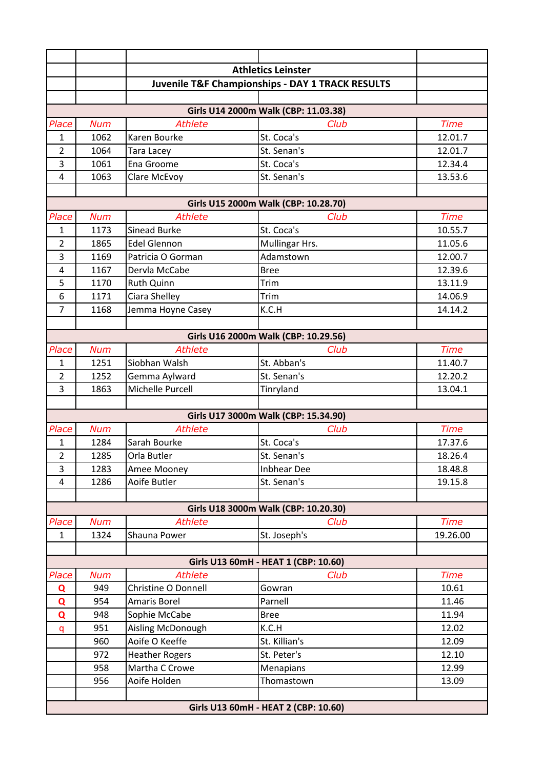|                |            |                       | <b>Athletics Leinster</b>                                   |             |
|----------------|------------|-----------------------|-------------------------------------------------------------|-------------|
|                |            |                       | <b>Juvenile T&amp;F Championships - DAY 1 TRACK RESULTS</b> |             |
|                |            |                       |                                                             |             |
|                |            |                       | Girls U14 2000m Walk (CBP: 11.03.38)                        |             |
| Place          | <b>Num</b> | <b>Athlete</b>        | Club                                                        | <b>Time</b> |
| $\mathbf{1}$   | 1062       | Karen Bourke          | St. Coca's                                                  | 12.01.7     |
| $\overline{2}$ | 1064       | <b>Tara Lacey</b>     | St. Senan's                                                 | 12.01.7     |
| 3              | 1061       | <b>Ena Groome</b>     | St. Coca's                                                  | 12.34.4     |
| $\pmb{4}$      | 1063       | Clare McEvoy          | St. Senan's                                                 | 13.53.6     |
|                |            |                       |                                                             |             |
|                |            |                       | Girls U15 2000m Walk (CBP: 10.28.70)                        |             |
| Place          | <b>Num</b> | <b>Athlete</b>        | Club                                                        | <b>Time</b> |
| 1              | 1173       | <b>Sinead Burke</b>   | St. Coca's                                                  | 10.55.7     |
| $\overline{2}$ | 1865       | <b>Edel Glennon</b>   | Mullingar Hrs.                                              | 11.05.6     |
| $\overline{3}$ | 1169       | Patricia O Gorman     | Adamstown                                                   | 12.00.7     |
| $\overline{4}$ | 1167       | Dervla McCabe         | <b>Bree</b>                                                 | 12.39.6     |
| 5              | 1170       | <b>Ruth Quinn</b>     | Trim                                                        | 13.11.9     |
| 6              | 1171       | Ciara Shelley         | Trim                                                        | 14.06.9     |
| $\overline{7}$ | 1168       | Jemma Hoyne Casey     | K.C.H                                                       | 14.14.2     |
|                |            |                       |                                                             |             |
|                |            |                       | Girls U16 2000m Walk (CBP: 10.29.56)                        |             |
| Place          | <b>Num</b> | <b>Athlete</b>        | Club                                                        | <b>Time</b> |
| 1              | 1251       | Siobhan Walsh         | St. Abban's                                                 | 11.40.7     |
| $\overline{2}$ | 1252       | Gemma Aylward         | St. Senan's                                                 | 12.20.2     |
| 3              | 1863       | Michelle Purcell      | Tinryland                                                   | 13.04.1     |
|                |            |                       |                                                             |             |
|                |            |                       | Girls U17 3000m Walk (CBP: 15.34.90)                        |             |
| Place          | <b>Num</b> | <b>Athlete</b>        | Club                                                        | <b>Time</b> |
| $\mathbf{1}$   | 1284       | Sarah Bourke          | St. Coca's                                                  | 17.37.6     |
| $\overline{2}$ | 1285       | Orla Butler           | St. Senan's                                                 | 18.26.4     |
| 3              | 1283       | Amee Mooney           | <b>Inbhear Dee</b>                                          | 18.48.8     |
| 4              | 1286       | Aoife Butler          | St. Senan's                                                 | 19.15.8     |
|                |            |                       |                                                             |             |
|                |            |                       | Girls U18 3000m Walk (CBP: 10.20.30)                        |             |
| Place          | <b>Num</b> | <b>Athlete</b>        | Club                                                        | <b>Time</b> |
| $\mathbf{1}$   | 1324       | Shauna Power          | St. Joseph's                                                | 19.26.00    |
|                |            |                       | Girls U13 60mH - HEAT 1 (CBP: 10.60)                        |             |
| Place          | <b>Num</b> | <b>Athlete</b>        | Club                                                        | <b>Time</b> |
|                | 949        | Christine O Donnell   | Gowran                                                      | 10.61       |
| Q              | 954        | Amaris Borel          | Parnell                                                     | 11.46       |
| Q<br>Q         | 948        | Sophie McCabe         | <b>Bree</b>                                                 | 11.94       |
|                | 951        | Aisling McDonough     | K.C.H                                                       | 12.02       |
| q              | 960        | Aoife O Keeffe        | St. Killian's                                               | 12.09       |
|                | 972        | <b>Heather Rogers</b> | St. Peter's                                                 | 12.10       |
|                | 958        | Martha C Crowe        | Menapians                                                   | 12.99       |
|                | 956        | Aoife Holden          | Thomastown                                                  | 13.09       |
|                |            |                       |                                                             |             |
|                |            |                       | Girls U13 60mH - HEAT 2 (CBP: 10.60)                        |             |
|                |            |                       |                                                             |             |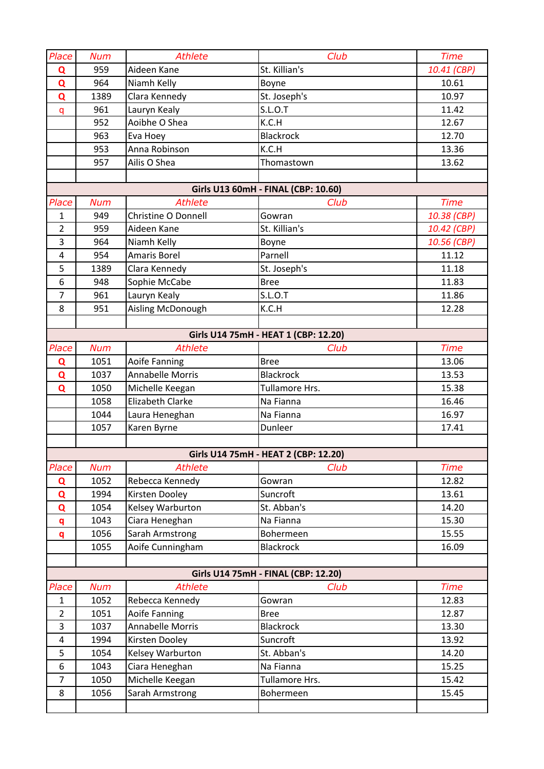| Place          | <b>Num</b> | <b>Athlete</b>          | Club                                 | <b>Time</b> |
|----------------|------------|-------------------------|--------------------------------------|-------------|
| Q              | 959        | Aideen Kane             | St. Killian's                        | 10.41 (CBP) |
| $\mathbf Q$    | 964        | Niamh Kelly             | Boyne                                | 10.61       |
| Q              | 1389       | Clara Kennedy           | St. Joseph's                         | 10.97       |
| $\mathsf{q}$   | 961        | Lauryn Kealy            | <b>S.L.O.T</b>                       | 11.42       |
|                | 952        | Aoibhe O Shea           | K.C.H                                | 12.67       |
|                | 963        | Eva Hoey                | <b>Blackrock</b>                     | 12.70       |
|                | 953        | Anna Robinson           | K.C.H                                | 13.36       |
|                | 957        | Ailis O Shea            | Thomastown                           | 13.62       |
|                |            |                         |                                      |             |
|                |            |                         | Girls U13 60mH - FINAL (CBP: 10.60)  |             |
| Place          | <b>Num</b> | <b>Athlete</b>          | Club                                 | <b>Time</b> |
| $\mathbf{1}$   | 949        | Christine O Donnell     | Gowran                               | 10.38 (CBP) |
| $\overline{2}$ | 959        | Aideen Kane             | St. Killian's                        | 10.42 (CBP) |
| 3              | 964        | Niamh Kelly             | Boyne                                | 10.56 (CBP) |
| 4              | 954        | Amaris Borel            | Parnell                              | 11.12       |
| 5              | 1389       | Clara Kennedy           | St. Joseph's                         | 11.18       |
| 6              | 948        | Sophie McCabe           | <b>Bree</b>                          | 11.83       |
| $\overline{7}$ | 961        | Lauryn Kealy            | S.L.O.T                              | 11.86       |
| 8              | 951        | Aisling McDonough       | K.C.H                                | 12.28       |
|                |            |                         |                                      |             |
|                |            |                         | Girls U14 75mH - HEAT 1 (CBP: 12.20) |             |
| Place          | <b>Num</b> | <b>Athlete</b>          | Club                                 | <b>Time</b> |
| Q              | 1051       | Aoife Fanning           | <b>Bree</b>                          | 13.06       |
| $\mathbf Q$    | 1037       | <b>Annabelle Morris</b> | <b>Blackrock</b>                     | 13.53       |
| $\mathbf Q$    | 1050       | Michelle Keegan         | Tullamore Hrs.                       | 15.38       |
|                | 1058       | <b>Elizabeth Clarke</b> | Na Fianna                            | 16.46       |
|                | 1044       | Laura Heneghan          | Na Fianna                            | 16.97       |
|                | 1057       | Karen Byrne             | Dunleer                              | 17.41       |
|                |            |                         |                                      |             |
|                |            |                         | Girls U14 75mH - HEAT 2 (CBP: 12.20) |             |
| Place          | <b>Num</b> | <b>Athlete</b>          | Club                                 | <b>Time</b> |
| Q              | 1052       | Rebecca Kennedy         | Gowran                               | 12.82       |
| $\mathbf Q$    | 1994       | Kirsten Dooley          | Suncroft                             | 13.61       |
| Q              | 1054       | Kelsey Warburton        | St. Abban's                          | 14.20       |
| q              | 1043       | Ciara Heneghan          | Na Fianna                            | 15.30       |
| q              | 1056       | Sarah Armstrong         | Bohermeen                            | 15.55       |
|                | 1055       | Aoife Cunningham        | <b>Blackrock</b>                     | 16.09       |
|                |            |                         | Girls U14 75mH - FINAL (CBP: 12.20)  |             |
| Place          | <b>Num</b> | <b>Athlete</b>          | Club                                 | <b>Time</b> |
| $\mathbf{1}$   | 1052       | Rebecca Kennedy         | Gowran                               | 12.83       |
| $\overline{2}$ | 1051       | Aoife Fanning           | <b>Bree</b>                          | 12.87       |
| 3              | 1037       | Annabelle Morris        | <b>Blackrock</b>                     | 13.30       |
| 4              | 1994       | Kirsten Dooley          | Suncroft                             | 13.92       |
| 5              | 1054       | Kelsey Warburton        | St. Abban's                          | 14.20       |
| 6              | 1043       | Ciara Heneghan          | Na Fianna                            | 15.25       |
| 7              | 1050       | Michelle Keegan         | Tullamore Hrs.                       | 15.42       |
| 8              | 1056       | Sarah Armstrong         | Bohermeen                            | 15.45       |
|                |            |                         |                                      |             |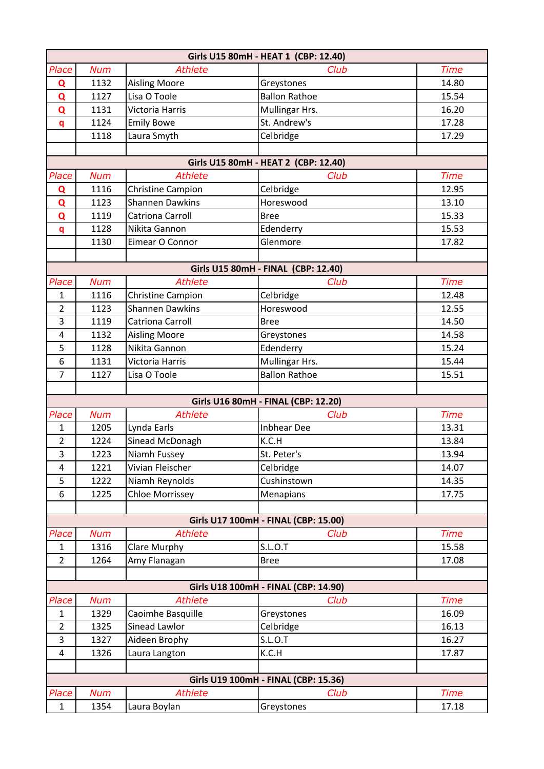|                |            |                         | Girls U15 80mH - HEAT 1 (CBP: 12.40) |             |
|----------------|------------|-------------------------|--------------------------------------|-------------|
| Place          | <b>Num</b> | <b>Athlete</b>          | Club                                 | <b>Time</b> |
| Q              | 1132       | <b>Aisling Moore</b>    | Greystones                           | 14.80       |
| Q              | 1127       | Lisa O Toole            | <b>Ballon Rathoe</b>                 | 15.54       |
| Q              | 1131       | Victoria Harris         | Mullingar Hrs.                       | 16.20       |
| q              | 1124       | <b>Emily Bowe</b>       | St. Andrew's                         | 17.28       |
|                | 1118       | Laura Smyth             | Celbridge                            | 17.29       |
|                |            |                         |                                      |             |
|                |            |                         | Girls U15 80mH - HEAT 2 (CBP: 12.40) |             |
| Place          | <b>Num</b> | <b>Athlete</b>          | Club                                 | <b>Time</b> |
| Q              | 1116       | Christine Campion       | Celbridge                            | 12.95       |
| Q              | 1123       | <b>Shannen Dawkins</b>  | Horeswood                            | 13.10       |
| $\overline{Q}$ | 1119       | <b>Catriona Carroll</b> | Bree                                 | 15.33       |
| $\mathbf{q}$   | 1128       | Nikita Gannon           | Edenderry                            | 15.53       |
|                | 1130       | Eimear O Connor         | Glenmore                             | 17.82       |
|                |            |                         |                                      |             |
|                |            |                         | Girls U15 80mH - FINAL (CBP: 12.40)  |             |
| Place          | <b>Num</b> | <b>Athlete</b>          | Club                                 | <b>Time</b> |
| $\mathbf{1}$   | 1116       | Christine Campion       | Celbridge                            | 12.48       |
| $\overline{2}$ | 1123       | <b>Shannen Dawkins</b>  | Horeswood                            | 12.55       |
| 3              | 1119       | Catriona Carroll        | <b>Bree</b>                          | 14.50       |
| 4              | 1132       | <b>Aisling Moore</b>    | Greystones                           | 14.58       |
| 5              | 1128       | Nikita Gannon           | Edenderry                            | 15.24       |
| 6              | 1131       | Victoria Harris         | Mullingar Hrs.                       | 15.44       |
| $\overline{7}$ | 1127       | Lisa O Toole            | <b>Ballon Rathoe</b>                 | 15.51       |
|                |            |                         |                                      |             |
|                |            |                         | Girls U16 80mH - FINAL (CBP: 12.20)  |             |
| Place          | <b>Num</b> | <b>Athlete</b>          | Club                                 | <b>Time</b> |
| $\mathbf{1}$   | 1205       | Lynda Earls             | <b>Inbhear Dee</b>                   | 13.31       |
| $\overline{2}$ | 1224       | Sinead McDonagh         | K.C.H                                | 13.84       |
| 3              | 1223       | Niamh Fussey            | St. Peter's                          | 13.94       |
| 4              | 1221       | Vivian Fleischer        | Celbridge                            | 14.07       |
| 5              | 1222       | Niamh Reynolds          | Cushinstown                          | 14.35       |
| 6              | 1225       | <b>Chloe Morrissey</b>  | Menapians                            | 17.75       |
|                |            |                         |                                      |             |
|                |            |                         | Girls U17 100mH - FINAL (CBP: 15.00) |             |
| Place          | <b>Num</b> | <b>Athlete</b>          | Club                                 | <b>Time</b> |
| $\mathbf{1}$   | 1316       | Clare Murphy            | <b>S.L.O.T</b>                       | 15.58       |
| $\overline{2}$ | 1264       | Amy Flanagan            | <b>Bree</b>                          | 17.08       |
|                |            |                         |                                      |             |
|                |            |                         | Girls U18 100mH - FINAL (CBP: 14.90) |             |
| Place          | <b>Num</b> | <b>Athlete</b>          | Club                                 | <b>Time</b> |
| $\mathbf{1}$   | 1329       | Caoimhe Basquille       | Greystones                           | 16.09       |
| $\overline{2}$ | 1325       | Sinead Lawlor           | Celbridge                            | 16.13       |
| 3              | 1327       | Aideen Brophy           | <b>S.L.O.T</b>                       | 16.27       |
| 4              | 1326       | Laura Langton           | K.C.H                                | 17.87       |
|                |            |                         |                                      |             |
|                |            |                         | Girls U19 100mH - FINAL (CBP: 15.36) |             |
| Place          | <b>Num</b> | <b>Athlete</b>          | Club                                 | <b>Time</b> |
| $\mathbf{1}$   | 1354       | Laura Boylan            | Greystones                           | 17.18       |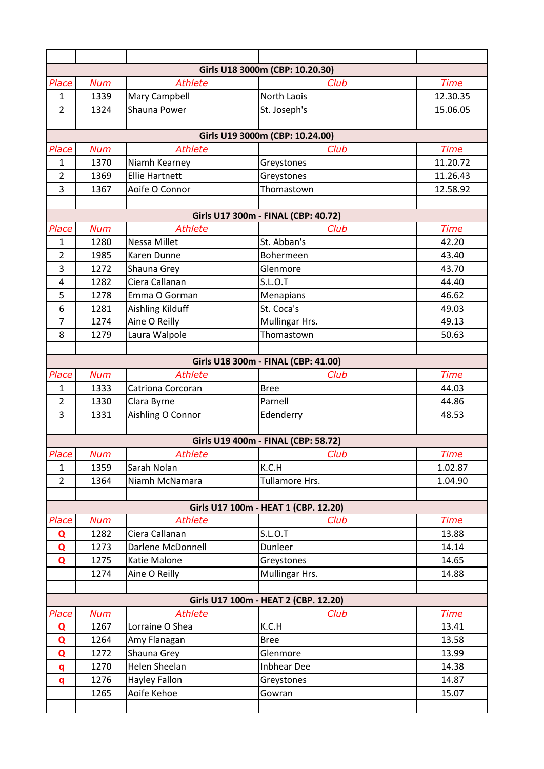|                |            |                       | Girls U18 3000m (CBP: 10.20.30)      |             |
|----------------|------------|-----------------------|--------------------------------------|-------------|
| Place          | <b>Num</b> | <b>Athlete</b>        | Club                                 | <b>Time</b> |
| 1              | 1339       | Mary Campbell         | North Laois                          | 12.30.35    |
| $\overline{2}$ | 1324       | Shauna Power          | St. Joseph's                         | 15.06.05    |
|                |            |                       |                                      |             |
|                |            |                       | Girls U19 3000m (CBP: 10.24.00)      |             |
| Place          | <b>Num</b> | <b>Athlete</b>        | Club                                 | <b>Time</b> |
| 1              | 1370       | Niamh Kearney         | Greystones                           | 11.20.72    |
| $\overline{2}$ | 1369       | <b>Ellie Hartnett</b> | Greystones                           | 11.26.43    |
| 3              | 1367       | Aoife O Connor        | Thomastown                           | 12.58.92    |
|                |            |                       |                                      |             |
|                |            |                       | Girls U17 300m - FINAL (CBP: 40.72)  |             |
| Place          | <b>Num</b> | <b>Athlete</b>        | Club                                 | <b>Time</b> |
| $\mathbf{1}$   | 1280       | <b>Nessa Millet</b>   | St. Abban's                          | 42.20       |
| $\overline{2}$ | 1985       | Karen Dunne           | Bohermeen                            | 43.40       |
| 3              | 1272       | Shauna Grey           | Glenmore                             | 43.70       |
| $\overline{4}$ | 1282       | Ciera Callanan        | <b>S.L.O.T</b>                       | 44.40       |
| 5              | 1278       | Emma O Gorman         | Menapians                            | 46.62       |
| 6              | 1281       | Aishling Kilduff      | St. Coca's                           | 49.03       |
| $\overline{7}$ | 1274       | Aine O Reilly         | Mullingar Hrs.                       | 49.13       |
| 8              | 1279       | Laura Walpole         | Thomastown                           | 50.63       |
|                |            |                       | Girls U18 300m - FINAL (CBP: 41.00)  |             |
| Place          | <b>Num</b> | <b>Athlete</b>        | Club                                 | <b>Time</b> |
| 1              | 1333       | Catriona Corcoran     | <b>Bree</b>                          | 44.03       |
| $\overline{2}$ | 1330       | Clara Byrne           | Parnell                              | 44.86       |
| $\overline{3}$ | 1331       | Aishling O Connor     | Edenderry                            | 48.53       |
|                |            |                       |                                      |             |
|                |            |                       | Girls U19 400m - FINAL (CBP: 58.72)  |             |
| Place          | <b>Num</b> | <b>Athlete</b>        | Club                                 | <b>Time</b> |
| $\mathbf{1}$   | 1359       | Sarah Nolan           | K.C.H                                | 1.02.87     |
| $\overline{2}$ | 1364       | Niamh McNamara        | Tullamore Hrs.                       | 1.04.90     |
|                |            |                       |                                      |             |
|                |            |                       | Girls U17 100m - HEAT 1 (CBP. 12.20) |             |
| Place          | <b>Num</b> | <b>Athlete</b>        | Club                                 | <b>Time</b> |
| Q              | 1282       | Ciera Callanan        | <b>S.L.O.T</b>                       | 13.88       |
| Q              | 1273       | Darlene McDonnell     | Dunleer                              | 14.14       |
| Q              | 1275       | Katie Malone          | Greystones                           | 14.65       |
|                | 1274       | Aine O Reilly         | Mullingar Hrs.                       | 14.88       |
|                |            |                       |                                      |             |
|                |            |                       | Girls U17 100m - HEAT 2 (CBP. 12.20) |             |
| Place          | <b>Num</b> | <b>Athlete</b>        | Club                                 | <b>Time</b> |
| Q              | 1267       | Lorraine O Shea       | K.C.H                                | 13.41       |
| Q              | 1264       | Amy Flanagan          | <b>Bree</b>                          | 13.58       |
| Q              | 1272       | Shauna Grey           | Glenmore                             | 13.99       |
| q              | 1270       | Helen Sheelan         | <b>Inbhear Dee</b>                   | 14.38       |
| q              | 1276       | Hayley Fallon         | Greystones                           | 14.87       |
|                | 1265       | Aoife Kehoe           | Gowran                               | 15.07       |
|                |            |                       |                                      |             |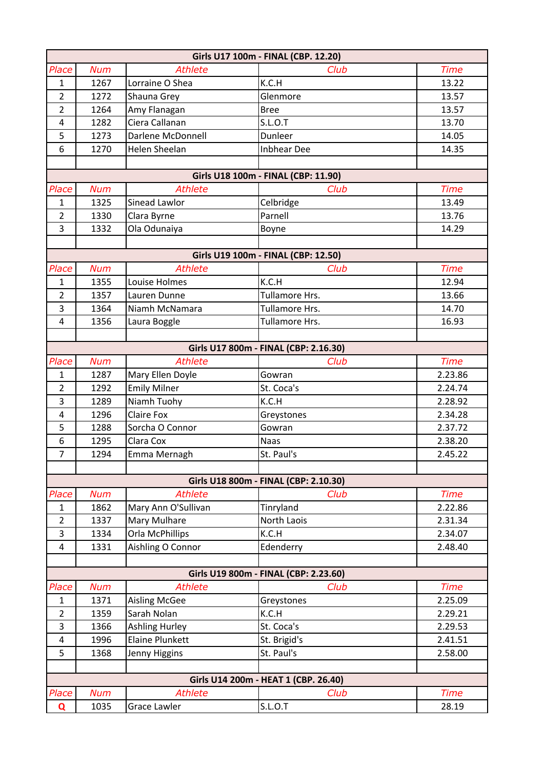|                       |              |                                     | Girls U17 100m - FINAL (CBP. 12.20)           |                        |
|-----------------------|--------------|-------------------------------------|-----------------------------------------------|------------------------|
| Place                 | <b>Num</b>   | <b>Athlete</b>                      | Club                                          | <b>Time</b>            |
| $\mathbf{1}$          | 1267         | Lorraine O Shea                     | K.C.H                                         | 13.22                  |
| $\overline{2}$        | 1272         | Shauna Grey                         | Glenmore                                      | 13.57                  |
| $\overline{2}$        | 1264         | Amy Flanagan                        | <b>Bree</b>                                   | 13.57                  |
| $\overline{4}$        | 1282         | Ciera Callanan                      | S.L.O.T                                       | 13.70                  |
| 5                     | 1273         | Darlene McDonnell                   | Dunleer                                       | 14.05                  |
| $6\,$                 | 1270         | <b>Helen Sheelan</b>                | <b>Inbhear Dee</b>                            | 14.35                  |
|                       |              |                                     |                                               |                        |
|                       |              |                                     | Girls U18 100m - FINAL (CBP: 11.90)           |                        |
| Place                 | <b>Num</b>   | <b>Athlete</b>                      | Club                                          | <b>Time</b>            |
| $\mathbf{1}$          | 1325         | Sinead Lawlor                       | Celbridge                                     | 13.49                  |
| $\overline{2}$        | 1330         | Clara Byrne                         | Parnell                                       | 13.76                  |
| $\overline{3}$        | 1332         | Ola Odunaiya                        | Boyne                                         | 14.29                  |
|                       |              |                                     |                                               |                        |
|                       |              |                                     | Girls U19 100m - FINAL (CBP: 12.50)           |                        |
| Place                 | <b>Num</b>   | <b>Athlete</b>                      | Club                                          | <b>Time</b>            |
| $\mathbf{1}$          | 1355         | Louise Holmes                       | K.C.H                                         | 12.94                  |
| $\overline{2}$        | 1357         | Lauren Dunne                        | Tullamore Hrs.                                | 13.66                  |
| 3                     | 1364         | Niamh McNamara                      | Tullamore Hrs.                                | 14.70                  |
| $\overline{4}$        | 1356         | Laura Boggle                        | Tullamore Hrs.                                | 16.93                  |
|                       |              |                                     |                                               |                        |
|                       |              |                                     | Girls U17 800m - FINAL (CBP: 2.16.30)         |                        |
| Place                 | <b>Num</b>   | <b>Athlete</b>                      | Club                                          | <b>Time</b>            |
| $\mathbf{1}$          | 1287         | Mary Ellen Doyle                    | Gowran                                        | 2.23.86                |
| $\overline{2}$        | 1292         | <b>Emily Milner</b>                 | St. Coca's                                    | 2.24.74                |
| 3                     | 1289         | Niamh Tuohy                         | K.C.H                                         | 2.28.92                |
| $\overline{4}$        | 1296         | <b>Claire Fox</b>                   | Greystones                                    | 2.34.28                |
| 5                     | 1288         | Sorcha O Connor                     | Gowran                                        | 2.37.72                |
| 6                     | 1295         | Clara Cox                           | <b>Naas</b>                                   | 2.38.20                |
| $\overline{7}$        | 1294         | Emma Mernagh                        | St. Paul's                                    | 2.45.22                |
|                       |              |                                     |                                               |                        |
|                       |              | <b>Athlete</b>                      | Girls U18 800m - FINAL (CBP: 2.10.30)<br>Club |                        |
| Place<br>$\mathbf{1}$ | <b>Num</b>   |                                     |                                               | <b>Time</b><br>2.22.86 |
| $\overline{2}$        | 1862<br>1337 | Mary Ann O'Sullivan<br>Mary Mulhare | Tinryland<br>North Laois                      | 2.31.34                |
| 3                     | 1334         | <b>Orla McPhillips</b>              | K.C.H                                         | 2.34.07                |
| 4                     | 1331         | Aishling O Connor                   | Edenderry                                     | 2.48.40                |
|                       |              |                                     |                                               |                        |
|                       |              |                                     | Girls U19 800m - FINAL (CBP: 2.23.60)         |                        |
| Place                 | <b>Num</b>   | <b>Athlete</b>                      | Club                                          | <b>Time</b>            |
| $\mathbf{1}$          | 1371         | <b>Aisling McGee</b>                | Greystones                                    | 2.25.09                |
| $\overline{2}$        | 1359         | Sarah Nolan                         | K.C.H                                         | 2.29.21                |
| 3                     | 1366         | <b>Ashling Hurley</b>               | St. Coca's                                    | 2.29.53                |
| 4                     | 1996         | <b>Elaine Plunkett</b>              | St. Brigid's                                  | 2.41.51                |
| 5                     | 1368         | Jenny Higgins                       | St. Paul's                                    | 2.58.00                |
|                       |              |                                     |                                               |                        |
|                       |              |                                     | Girls U14 200m - HEAT 1 (CBP. 26.40)          |                        |
| Place                 | <b>Num</b>   | <b>Athlete</b>                      | Club                                          | <b>Time</b>            |
| Q                     | 1035         | Grace Lawler                        | <b>S.L.O.T</b>                                | 28.19                  |
|                       |              |                                     |                                               |                        |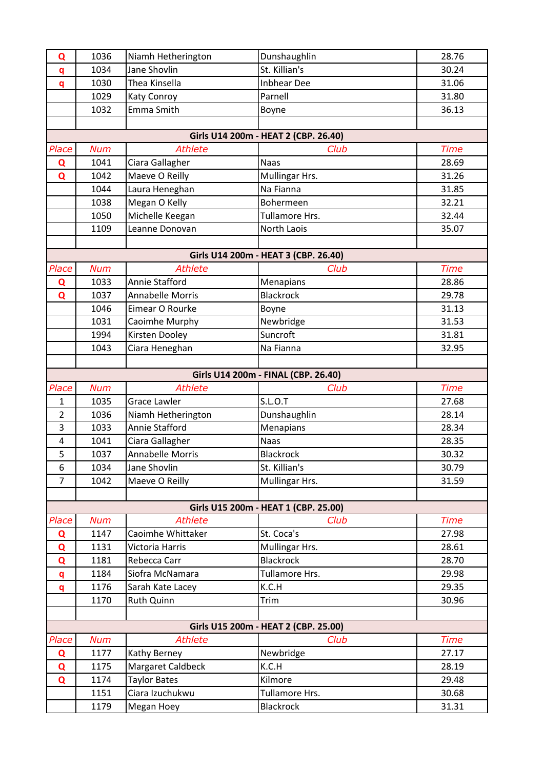| Q              | 1036       | Niamh Hetherington      | Dunshaughlin                         | 28.76       |
|----------------|------------|-------------------------|--------------------------------------|-------------|
| q              | 1034       | Jane Shovlin            | St. Killian's                        | 30.24       |
| q              | 1030       | Thea Kinsella           | <b>Inbhear Dee</b>                   | 31.06       |
|                | 1029       | Katy Conroy             | Parnell                              | 31.80       |
|                | 1032       | Emma Smith              | Boyne                                | 36.13       |
|                |            |                         |                                      |             |
|                |            |                         | Girls U14 200m - HEAT 2 (CBP. 26.40) |             |
| Place          | <b>Num</b> | <b>Athlete</b>          | Club                                 | <b>Time</b> |
| Q              | 1041       | Ciara Gallagher         | <b>Naas</b>                          | 28.69       |
| Q              | 1042       | Maeve O Reilly          | Mullingar Hrs.                       | 31.26       |
|                | 1044       | Laura Heneghan          | Na Fianna                            | 31.85       |
|                | 1038       | Megan O Kelly           | Bohermeen                            | 32.21       |
|                | 1050       | Michelle Keegan         | Tullamore Hrs.                       | 32.44       |
|                | 1109       | Leanne Donovan          | North Laois                          | 35.07       |
|                |            |                         |                                      |             |
|                |            |                         | Girls U14 200m - HEAT 3 (CBP. 26.40) |             |
| Place          | <b>Num</b> | <b>Athlete</b>          | Club                                 | <b>Time</b> |
| Q              | 1033       | Annie Stafford          | Menapians                            | 28.86       |
| Q              | 1037       | <b>Annabelle Morris</b> | <b>Blackrock</b>                     | 29.78       |
|                | 1046       | Eimear O Rourke         | Boyne                                | 31.13       |
|                | 1031       | Caoimhe Murphy          | Newbridge                            | 31.53       |
|                | 1994       | Kirsten Dooley          | Suncroft                             | 31.81       |
|                | 1043       | Ciara Heneghan          | Na Fianna                            | 32.95       |
|                |            |                         |                                      |             |
|                |            |                         | Girls U14 200m - FINAL (CBP. 26.40)  |             |
|                |            |                         |                                      |             |
| Place          | <b>Num</b> | Athlete                 | Club                                 | <b>Time</b> |
| 1              | 1035       | <b>Grace Lawler</b>     | <b>S.L.O.T</b>                       | 27.68       |
| $\overline{2}$ | 1036       | Niamh Hetherington      | Dunshaughlin                         | 28.14       |
| 3              | 1033       | Annie Stafford          | Menapians                            | 28.34       |
| 4              | 1041       | Ciara Gallagher         | <b>Naas</b>                          | 28.35       |
| 5              | 1037       | Annabelle Morris        | Blackrock                            | 30.32       |
| 6              | 1034       | Jane Shovlin            | St. Killian's                        | 30.79       |
| $\overline{7}$ | 1042       | Maeve O Reilly          | Mullingar Hrs.                       | 31.59       |
|                |            |                         |                                      |             |
|                |            |                         | Girls U15 200m - HEAT 1 (CBP. 25.00) |             |
| Place          | <b>Num</b> | <b>Athlete</b>          | Club                                 | <b>Time</b> |
| Q              | 1147       | Caoimhe Whittaker       | St. Coca's                           | 27.98       |
| Q              | 1131       | Victoria Harris         | Mullingar Hrs.                       | 28.61       |
| Q              | 1181       | Rebecca Carr            | <b>Blackrock</b>                     | 28.70       |
| q              | 1184       | Siofra McNamara         | Tullamore Hrs.                       | 29.98       |
| q              | 1176       | Sarah Kate Lacey        | K.C.H                                | 29.35       |
|                | 1170       | Ruth Quinn              | Trim                                 | 30.96       |
|                |            |                         |                                      |             |
|                |            |                         | Girls U15 200m - HEAT 2 (CBP. 25.00) |             |
| Place          | <b>Num</b> | <b>Athlete</b>          | Club                                 | <b>Time</b> |
| Q              | 1177       | Kathy Berney            | Newbridge                            | 27.17       |
| Q              | 1175       | Margaret Caldbeck       | K.C.H                                | 28.19       |
| Q              | 1174       | <b>Taylor Bates</b>     | Kilmore                              | 29.48       |
|                | 1151       | Ciara Izuchukwu         | Tullamore Hrs.                       | 30.68       |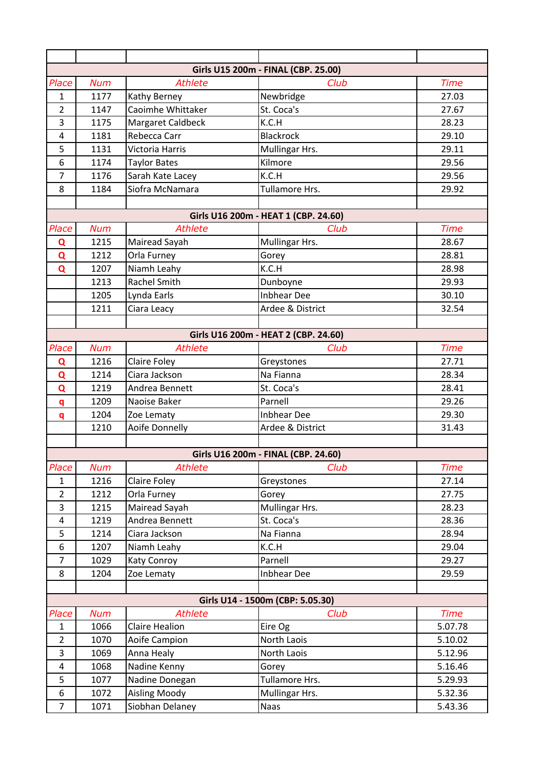|                |            |                       | Girls U15 200m - FINAL (CBP. 25.00)  |             |
|----------------|------------|-----------------------|--------------------------------------|-------------|
| Place          | <b>Num</b> | <b>Athlete</b>        | Club                                 | <b>Time</b> |
| $\mathbf{1}$   | 1177       | Kathy Berney          | Newbridge                            | 27.03       |
| $\overline{2}$ | 1147       | Caoimhe Whittaker     | St. Coca's                           | 27.67       |
| 3              | 1175       | Margaret Caldbeck     | K.C.H                                | 28.23       |
| $\overline{4}$ | 1181       | Rebecca Carr          | <b>Blackrock</b>                     | 29.10       |
| 5              | 1131       | Victoria Harris       | Mullingar Hrs.                       | 29.11       |
| 6              | 1174       | <b>Taylor Bates</b>   | Kilmore                              | 29.56       |
| $\overline{7}$ | 1176       | Sarah Kate Lacey      | K.C.H                                | 29.56       |
| 8              | 1184       | Siofra McNamara       | Tullamore Hrs.                       | 29.92       |
|                |            |                       |                                      |             |
|                |            |                       | Girls U16 200m - HEAT 1 (CBP. 24.60) |             |
| Place          | <b>Num</b> | <b>Athlete</b>        | Club                                 | <b>Time</b> |
| Q              | 1215       | Mairead Sayah         | Mullingar Hrs.                       | 28.67       |
| Q              | 1212       | Orla Furney           | Gorey                                | 28.81       |
| Q              | 1207       | Niamh Leahy           | K.C.H                                | 28.98       |
|                | 1213       | <b>Rachel Smith</b>   | Dunboyne                             | 29.93       |
|                | 1205       | Lynda Earls           | <b>Inbhear Dee</b>                   | 30.10       |
|                | 1211       | Ciara Leacy           | Ardee & District                     | 32.54       |
|                |            |                       |                                      |             |
|                |            |                       | Girls U16 200m - HEAT 2 (CBP. 24.60) |             |
| Place          | <b>Num</b> | <b>Athlete</b>        | Club                                 | <b>Time</b> |
| Q              | 1216       | Claire Foley          | Greystones                           | 27.71       |
| Q              | 1214       | Ciara Jackson         | Na Fianna                            | 28.34       |
| Q              | 1219       | Andrea Bennett        | St. Coca's                           | 28.41       |
| q              | 1209       | Naoise Baker          | Parnell                              | 29.26       |
| q              | 1204       | Zoe Lematy            | <b>Inbhear Dee</b>                   | 29.30       |
|                | 1210       | Aoife Donnelly        | Ardee & District                     | 31.43       |
|                |            |                       |                                      |             |
|                |            |                       | Girls U16 200m - FINAL (CBP. 24.60)  |             |
| Place          | <b>Num</b> | <b>Athlete</b>        | Club                                 | <b>Time</b> |
| $\mathbf{1}$   | 1216       | Claire Foley          | Greystones                           | 27.14       |
| $\overline{2}$ | 1212       | Orla Furney           | Gorey                                | 27.75       |
| $\overline{3}$ | 1215       | Mairead Sayah         | Mullingar Hrs.                       | 28.23       |
| 4              | 1219       | Andrea Bennett        | St. Coca's                           | 28.36       |
| 5              | 1214       | Ciara Jackson         | Na Fianna                            | 28.94       |
| 6              | 1207       | Niamh Leahy           | K.C.H                                | 29.04       |
| $\overline{7}$ | 1029       | <b>Katy Conroy</b>    | Parnell                              | 29.27       |
| 8              | 1204       | Zoe Lematy            | <b>Inbhear Dee</b>                   | 29.59       |
|                |            |                       |                                      |             |
|                |            |                       | Girls U14 - 1500m (CBP: 5.05.30)     |             |
| Place          | <b>Num</b> | <b>Athlete</b>        | Club                                 | <b>Time</b> |
| $\mathbf{1}$   | 1066       | <b>Claire Healion</b> | Eire Og                              | 5.07.78     |
| $\overline{2}$ | 1070       | Aoife Campion         | North Laois                          | 5.10.02     |
| 3              | 1069       | Anna Healy            | North Laois                          | 5.12.96     |
| $\overline{4}$ | 1068       | Nadine Kenny          | Gorey                                | 5.16.46     |
| 5              | 1077       | Nadine Donegan        | Tullamore Hrs.                       | 5.29.93     |
| 6              | 1072       | <b>Aisling Moody</b>  | Mullingar Hrs.                       | 5.32.36     |
| $\overline{7}$ | 1071       | Siobhan Delaney       | Naas                                 | 5.43.36     |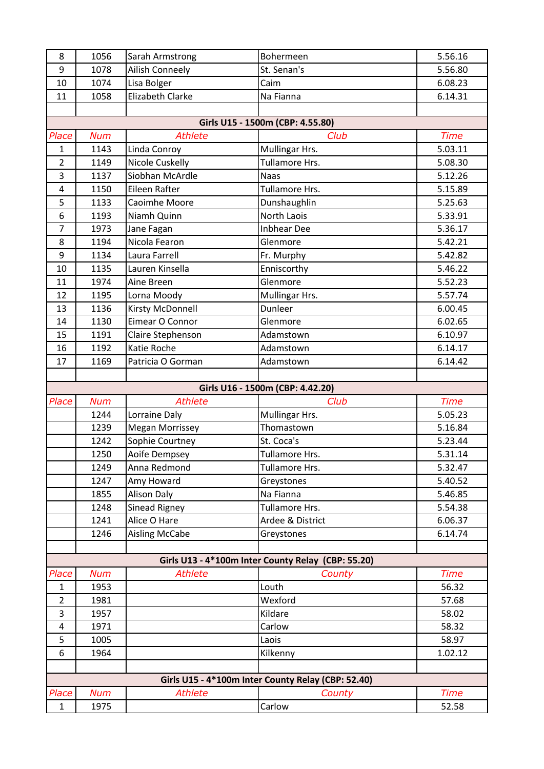| 8                     | 1056               | Sarah Armstrong         | Bohermeen                                          | 5.56.16              |
|-----------------------|--------------------|-------------------------|----------------------------------------------------|----------------------|
| 9                     | 1078               | Ailish Conneely         | St. Senan's                                        | 5.56.80              |
| 10                    | 1074               | Lisa Bolger             | Caim                                               | 6.08.23              |
| 11                    | 1058               | <b>Elizabeth Clarke</b> | Na Fianna                                          | 6.14.31              |
|                       |                    |                         |                                                    |                      |
|                       |                    |                         | Girls U15 - 1500m (CBP: 4.55.80)                   |                      |
| Place                 | <b>Num</b>         | <b>Athlete</b>          | Club                                               | <b>Time</b>          |
| $\mathbf{1}$          | 1143               | Linda Conroy            | Mullingar Hrs.                                     | 5.03.11              |
| $\overline{2}$        | 1149               | Nicole Cuskelly         | Tullamore Hrs.                                     | 5.08.30              |
| 3                     | 1137               | Siobhan McArdle         | <b>Naas</b>                                        | 5.12.26              |
| $\overline{4}$        | 1150               | Eileen Rafter           | Tullamore Hrs.                                     | 5.15.89              |
| 5                     | 1133               | Caoimhe Moore           | Dunshaughlin                                       | 5.25.63              |
| $6\,$                 | 1193               | Niamh Quinn             | North Laois                                        | 5.33.91              |
| $\overline{7}$        | 1973               | Jane Fagan              | <b>Inbhear Dee</b>                                 | 5.36.17              |
| 8                     | 1194               | Nicola Fearon           | Glenmore                                           | 5.42.21              |
| $\boldsymbol{9}$      | 1134               | Laura Farrell           | Fr. Murphy                                         | 5.42.82              |
| 10                    | 1135               | Lauren Kinsella         | Enniscorthy                                        | 5.46.22              |
| 11                    | 1974               | Aine Breen              | Glenmore                                           | 5.52.23              |
| 12                    | 1195               | Lorna Moody             | Mullingar Hrs.                                     | 5.57.74              |
| 13                    | 1136               | Kirsty McDonnell        | Dunleer                                            | 6.00.45              |
| 14                    | 1130               | Eimear O Connor         | Glenmore                                           | 6.02.65              |
| 15                    | 1191               | Claire Stephenson       | Adamstown                                          | 6.10.97              |
| 16                    | 1192               | Katie Roche             | Adamstown                                          | 6.14.17              |
| 17                    | 1169               | Patricia O Gorman       | Adamstown                                          | 6.14.42              |
|                       |                    |                         |                                                    |                      |
|                       |                    |                         |                                                    |                      |
|                       |                    |                         | Girls U16 - 1500m (CBP: 4.42.20)                   |                      |
| Place                 | <b>Num</b>         | <b>Athlete</b>          | Club                                               | <b>Time</b>          |
|                       | 1244               | Lorraine Daly           | Mullingar Hrs.                                     | 5.05.23              |
|                       | 1239               | <b>Megan Morrissey</b>  | Thomastown                                         | 5.16.84              |
|                       | 1242               | Sophie Courtney         | St. Coca's                                         | 5.23.44              |
|                       | 1250               | Aoife Dempsey           | Tullamore Hrs.                                     | 5.31.14              |
|                       | 1249               | Anna Redmond            | Tullamore Hrs.                                     | 5.32.47              |
|                       | 1247               | Amy Howard              | Greystones                                         | 5.40.52              |
|                       | 1855               | <b>Alison Daly</b>      | Na Fianna                                          | 5.46.85              |
|                       | 1248               | Sinead Rigney           | Tullamore Hrs.                                     | 5.54.38              |
|                       | 1241               | Alice O Hare            | Ardee & District                                   | 6.06.37              |
|                       | 1246               | <b>Aisling McCabe</b>   | Greystones                                         | 6.14.74              |
|                       |                    |                         |                                                    |                      |
|                       |                    |                         | Girls U13 - 4*100m Inter County Relay (CBP: 55.20) |                      |
| Place                 | <b>Num</b>         | <b>Athlete</b>          | County                                             | <b>Time</b>          |
| $\mathbf{1}$          | 1953               |                         | Louth                                              | 56.32                |
| $\overline{2}$        | 1981               |                         | Wexford                                            | 57.68                |
| 3                     | 1957               |                         | Kildare                                            | 58.02                |
| 4                     | 1971               |                         | Carlow                                             | 58.32                |
| 5                     | 1005               |                         | Laois                                              | 58.97                |
| $\boldsymbol{6}$      | 1964               |                         | Kilkenny                                           | 1.02.12              |
|                       |                    |                         |                                                    |                      |
|                       |                    |                         | Girls U15 - 4*100m Inter County Relay (CBP: 52.40) |                      |
| Place<br>$\mathbf{1}$ | <b>Num</b><br>1975 | <b>Athlete</b>          | County<br>Carlow                                   | <b>Time</b><br>52.58 |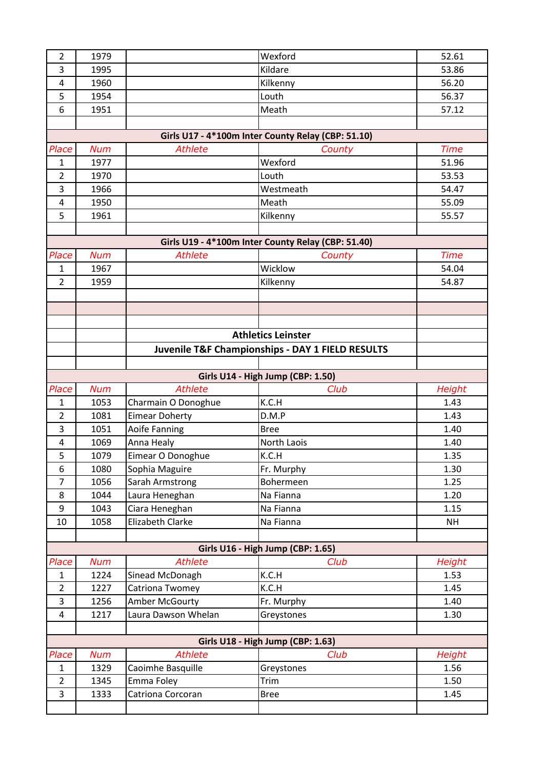| $\overline{2}$          | 1979       |                       | Wexford                                            | 52.61         |
|-------------------------|------------|-----------------------|----------------------------------------------------|---------------|
| 3                       | 1995       |                       | Kildare                                            | 53.86         |
| 4                       | 1960       |                       | Kilkenny                                           | 56.20         |
| 5                       | 1954       |                       | Louth                                              | 56.37         |
| 6                       | 1951       |                       | Meath                                              | 57.12         |
|                         |            |                       |                                                    |               |
|                         |            |                       | Girls U17 - 4*100m Inter County Relay (CBP: 51.10) |               |
| Place                   | <b>Num</b> | <b>Athlete</b>        | County                                             | <b>Time</b>   |
| $\mathbf{1}$            | 1977       |                       | Wexford                                            | 51.96         |
| $\overline{2}$          | 1970       |                       | Louth                                              | 53.53         |
| 3                       | 1966       |                       | Westmeath                                          | 54.47         |
| $\overline{4}$          | 1950       |                       | Meath                                              | 55.09         |
| 5                       | 1961       |                       | Kilkenny                                           | 55.57         |
|                         |            |                       |                                                    |               |
|                         |            |                       | Girls U19 - 4*100m Inter County Relay (CBP: 51.40) |               |
| Place                   | <b>Num</b> | <b>Athlete</b>        | County                                             | <b>Time</b>   |
| $\mathbf{1}$            | 1967       |                       | Wicklow                                            | 54.04         |
| $\overline{2}$          | 1959       |                       | Kilkenny                                           | 54.87         |
|                         |            |                       |                                                    |               |
|                         |            |                       |                                                    |               |
|                         |            |                       |                                                    |               |
|                         |            |                       | <b>Athletics Leinster</b>                          |               |
|                         |            |                       |                                                    |               |
|                         |            |                       | Juvenile T&F Championships - DAY 1 FIELD RESULTS   |               |
|                         |            |                       |                                                    |               |
|                         |            |                       | Girls U14 - High Jump (CBP: 1.50)                  |               |
|                         |            |                       |                                                    |               |
| Place                   | <b>Num</b> | <b>Athlete</b>        | Club                                               | Height        |
| $\mathbf{1}$            | 1053       | Charmain O Donoghue   | K.C.H                                              | 1.43          |
| $\overline{2}$          | 1081       | <b>Eimear Doherty</b> | D.M.P                                              | 1.43          |
| 3                       | 1051       | Aoife Fanning         | <b>Bree</b>                                        | 1.40          |
| $\overline{4}$          | 1069       | Anna Healy            | North Laois                                        | 1.40          |
| 5                       | 1079       | Eimear O Donoghue     | K.C.H                                              | 1.35          |
| 6                       | 1080       | Sophia Maguire        | Fr. Murphy                                         | 1.30          |
| $\overline{7}$          | 1056       | Sarah Armstrong       | Bohermeen                                          | 1.25          |
| 8                       | 1044       | Laura Heneghan        | Na Fianna                                          | 1.20          |
| 9                       | 1043       | Ciara Heneghan        | Na Fianna                                          | 1.15          |
| $10\,$                  | 1058       | Elizabeth Clarke      | Na Fianna                                          | <b>NH</b>     |
|                         |            |                       |                                                    |               |
|                         |            |                       | Girls U16 - High Jump (CBP: 1.65)                  |               |
| Place                   | <b>Num</b> | <b>Athlete</b>        | Club                                               | <b>Height</b> |
| $\mathbf{1}$            | 1224       | Sinead McDonagh       | K.C.H                                              | 1.53          |
| $\overline{2}$          | 1227       | Catriona Twomey       | K.C.H                                              | 1.45          |
| 3                       | 1256       | Amber McGourty        | Fr. Murphy                                         | 1.40          |
| $\overline{\mathbf{4}}$ | 1217       | Laura Dawson Whelan   | Greystones                                         | 1.30          |
|                         |            |                       |                                                    |               |
|                         |            |                       | Girls U18 - High Jump (CBP: 1.63)                  |               |
| Place                   | <b>Num</b> | <b>Athlete</b>        | Club                                               | <b>Height</b> |
| $\mathbf{1}$            | 1329       | Caoimhe Basquille     | Greystones                                         | 1.56          |
| $\overline{2}$          | 1345       | Emma Foley            | Trim                                               | 1.50          |
| $\overline{3}$          |            |                       | <b>Bree</b>                                        | 1.45          |
|                         | 1333       | Catriona Corcoran     |                                                    |               |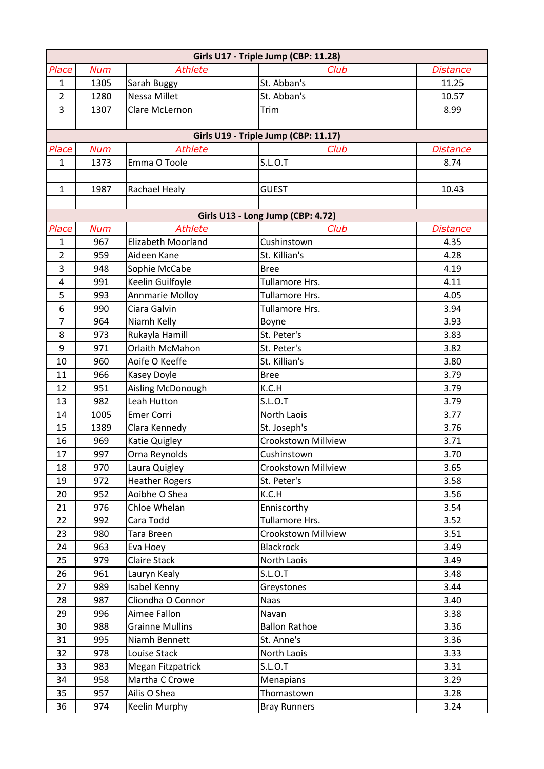|                |            |                        | Girls U17 - Triple Jump (CBP: 11.28) |                 |
|----------------|------------|------------------------|--------------------------------------|-----------------|
| Place          | <b>Num</b> | <b>Athlete</b>         | Club                                 | <b>Distance</b> |
| $\mathbf{1}$   | 1305       | Sarah Buggy            | St. Abban's                          | 11.25           |
| $\overline{2}$ | 1280       | Nessa Millet           | St. Abban's                          | 10.57           |
| 3              | 1307       | Clare McLernon         | Trim                                 | 8.99            |
|                |            |                        |                                      |                 |
|                |            |                        | Girls U19 - Triple Jump (CBP: 11.17) |                 |
| Place          | <b>Num</b> | <b>Athlete</b>         | Club                                 | <b>Distance</b> |
| $\mathbf{1}$   | 1373       | Emma O Toole           | <b>S.L.O.T</b>                       | 8.74            |
|                |            |                        |                                      |                 |
| $\mathbf{1}$   | 1987       | Rachael Healy          | <b>GUEST</b>                         | 10.43           |
|                |            |                        |                                      |                 |
|                |            |                        | Girls U13 - Long Jump (CBP: 4.72)    |                 |
| Place          | <b>Num</b> | <b>Athlete</b>         | Club                                 | <b>Distance</b> |
| $\mathbf{1}$   | 967        | Elizabeth Moorland     | Cushinstown                          | 4.35            |
| $\overline{2}$ | 959        | Aideen Kane            | St. Killian's                        | 4.28            |
| 3              | 948        | Sophie McCabe          | <b>Bree</b>                          | 4.19            |
| 4              | 991        | Keelin Guilfoyle       | Tullamore Hrs.                       | 4.11            |
| 5              | 993        | <b>Annmarie Molloy</b> | Tullamore Hrs.                       | 4.05            |
| 6              | 990        | Ciara Galvin           | Tullamore Hrs.                       | 3.94            |
| $\overline{7}$ | 964        | Niamh Kelly            | Boyne                                | 3.93            |
| 8              | 973        | Rukayla Hamill         | St. Peter's                          | 3.83            |
| 9              | 971        | Orlaith McMahon        | St. Peter's                          | 3.82            |
| 10             | 960        | Aoife O Keeffe         | St. Killian's                        | 3.80            |
| 11             | 966        | Kasey Doyle            | <b>Bree</b>                          | 3.79            |
| 12             | 951        | Aisling McDonough      | K.C.H                                | 3.79            |
| 13             | 982        | Leah Hutton            | <b>S.L.O.T</b>                       | 3.79            |
| 14             | 1005       | <b>Emer Corri</b>      | North Laois                          | 3.77            |
| 15             | 1389       | Clara Kennedy          | St. Joseph's                         | 3.76            |
| 16             | 969        | Katie Quigley          | <b>Crookstown Millview</b>           | 3.71            |
| 17             | 997        | Orna Reynolds          | Cushinstown                          | 3.70            |
| 18             | 970        | Laura Quigley          | Crookstown Millview                  | 3.65            |
| 19             | 972        | <b>Heather Rogers</b>  | St. Peter's                          | 3.58            |
| 20             | 952        | Aoibhe O Shea          | K.C.H                                | 3.56            |
| 21             | 976        | Chloe Whelan           | Enniscorthy                          | 3.54            |
| 22             | 992        | Cara Todd              | Tullamore Hrs.                       | 3.52            |
| 23             | 980        | Tara Breen             | Crookstown Millview                  | 3.51            |
| 24             | 963        | Eva Hoey               | <b>Blackrock</b>                     | 3.49            |
| 25             | 979        | <b>Claire Stack</b>    | North Laois                          | 3.49            |
| 26             | 961        | Lauryn Kealy           | S.L.O.T                              | 3.48            |
| 27             | 989        | Isabel Kenny           | Greystones                           | 3.44            |
| 28             | 987        | Cliondha O Connor      | <b>Naas</b>                          | 3.40            |
| 29             | 996        | Aimee Fallon           | Navan                                | 3.38            |
| 30             | 988        | <b>Grainne Mullins</b> | <b>Ballon Rathoe</b>                 | 3.36            |
| 31             | 995        | Niamh Bennett          | St. Anne's                           | 3.36            |
| 32             | 978        | Louise Stack           | North Laois                          | 3.33            |
| 33             | 983        | Megan Fitzpatrick      | S.L.O.T                              | 3.31            |
| 34             | 958        | Martha C Crowe         | Menapians                            | 3.29            |
| 35             | 957        | Ailis O Shea           | Thomastown                           | 3.28            |
| 36             | 974        | Keelin Murphy          | <b>Bray Runners</b>                  | 3.24            |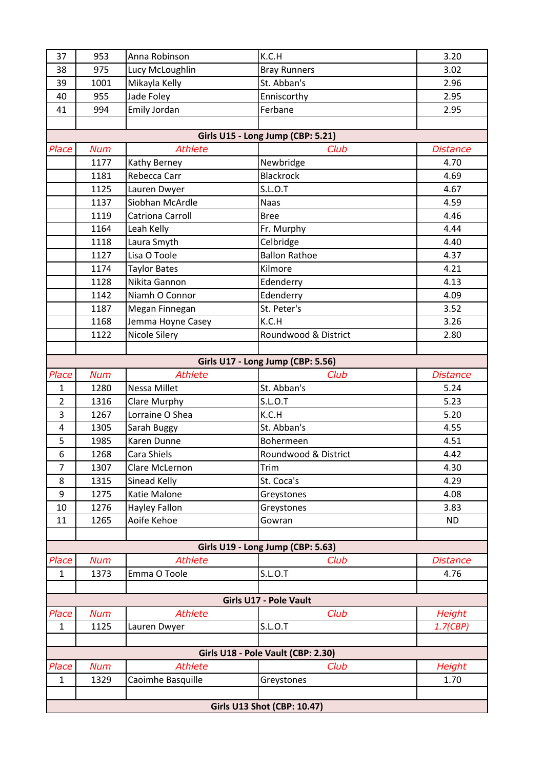| 37             | 953        | Anna Robinson        | K.C.H                              | 3.20            |
|----------------|------------|----------------------|------------------------------------|-----------------|
| 38             | 975        | Lucy McLoughlin      | <b>Bray Runners</b>                | 3.02            |
| 39             | 1001       | Mikayla Kelly        | St. Abban's                        | 2.96            |
| 40             | 955        | Jade Foley           | Enniscorthy                        | 2.95            |
| 41             | 994        | Emily Jordan         | Ferbane                            | 2.95            |
|                |            |                      |                                    |                 |
|                |            |                      | Girls U15 - Long Jump (CBP: 5.21)  |                 |
| Place          | <b>Num</b> | <b>Athlete</b>       | Club                               | <b>Distance</b> |
|                | 1177       | Kathy Berney         | Newbridge                          | 4.70            |
|                | 1181       | Rebecca Carr         | <b>Blackrock</b>                   | 4.69            |
|                | 1125       | Lauren Dwyer         | S.L.O.T                            | 4.67            |
|                | 1137       | Siobhan McArdle      | <b>Naas</b>                        | 4.59            |
|                | 1119       | Catriona Carroll     | <b>Bree</b>                        | 4.46            |
|                | 1164       | Leah Kelly           | Fr. Murphy                         | 4.44            |
|                | 1118       | Laura Smyth          | Celbridge                          | 4.40            |
|                | 1127       | Lisa O Toole         | <b>Ballon Rathoe</b>               | 4.37            |
|                | 1174       | <b>Taylor Bates</b>  | Kilmore                            | 4.21            |
|                | 1128       | Nikita Gannon        | Edenderry                          | 4.13            |
|                | 1142       | Niamh O Connor       | Edenderry                          | 4.09            |
|                | 1187       | Megan Finnegan       | St. Peter's                        | 3.52            |
|                | 1168       | Jemma Hoyne Casey    | K.C.H                              | 3.26            |
|                | 1122       | Nicole Silery        | Roundwood & District               | 2.80            |
|                |            |                      |                                    |                 |
|                |            |                      | Girls U17 - Long Jump (CBP: 5.56)  |                 |
| Place          | <b>Num</b> | <b>Athlete</b>       | Club                               | <b>Distance</b> |
| $\mathbf{1}$   | 1280       | Nessa Millet         | St. Abban's                        | 5.24            |
| $\overline{2}$ | 1316       | Clare Murphy         | <b>S.L.O.T</b>                     | 5.23            |
| 3              | 1267       | Lorraine O Shea      | K.C.H                              | 5.20            |
| 4              | 1305       | Sarah Buggy          | St. Abban's                        | 4.55            |
| 5              | 1985       | Karen Dunne          | Bohermeen                          | 4.51            |
| 6              | 1268       | Cara Shiels          | Roundwood & District               | 4.42            |
| $\overline{7}$ | 1307       | Clare McLernon       | Trim                               | 4.30            |
| 8              | 1315       | Sinead Kelly         | St. Coca's                         | 4.29            |
| 9              | 1275       | Katie Malone         | Greystones                         | 4.08            |
| 10             | 1276       | <b>Hayley Fallon</b> | Greystones                         | 3.83            |
| 11             | 1265       | Aoife Kehoe          | Gowran                             | <b>ND</b>       |
|                |            |                      | Girls U19 - Long Jump (CBP: 5.63)  |                 |
| Place          | <b>Num</b> | <b>Athlete</b>       | Club                               | <b>Distance</b> |
| $\mathbf{1}$   | 1373       | Emma O Toole         | <b>S.L.O.T</b>                     | 4.76            |
|                |            |                      |                                    |                 |
|                |            |                      | Girls U17 - Pole Vault             |                 |
| Place          | <b>Num</b> | <b>Athlete</b>       | Club                               | <b>Height</b>   |
| $\mathbf{1}$   | 1125       | Lauren Dwyer         | <b>S.L.O.T</b>                     | 1.7(CBP)        |
|                |            |                      |                                    |                 |
|                |            |                      | Girls U18 - Pole Vault (CBP: 2.30) |                 |
| Place          | <b>Num</b> | <b>Athlete</b>       | Club                               | Height          |
| $\mathbf{1}$   | 1329       | Caoimhe Basquille    | Greystones                         | 1.70            |
|                |            |                      |                                    |                 |
|                |            |                      | <b>Girls U13 Shot (CBP: 10.47)</b> |                 |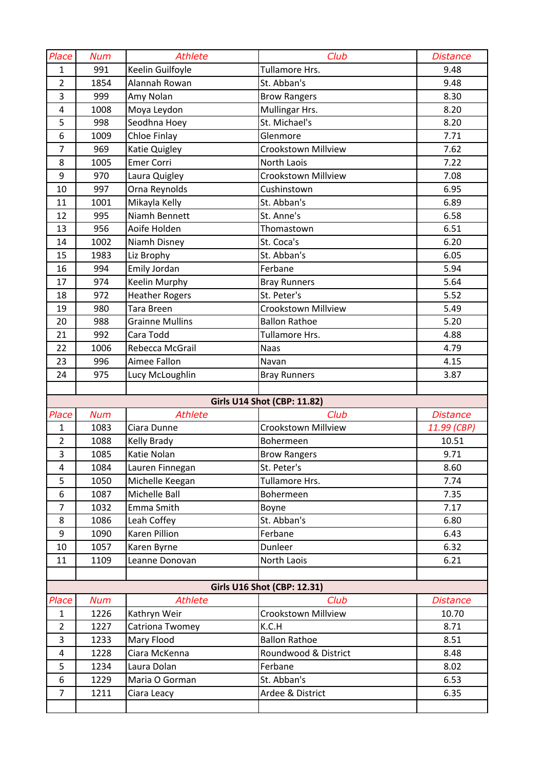| Place          | <b>Num</b> | <b>Athlete</b>         | Club                               | <b>Distance</b> |
|----------------|------------|------------------------|------------------------------------|-----------------|
| $\mathbf{1}$   | 991        | Keelin Guilfoyle       | Tullamore Hrs.                     | 9.48            |
| $\overline{2}$ | 1854       | Alannah Rowan          | St. Abban's                        | 9.48            |
| 3              | 999        | Amy Nolan              | <b>Brow Rangers</b>                | 8.30            |
| $\pmb{4}$      | 1008       | Moya Leydon            | Mullingar Hrs.                     | 8.20            |
| 5              | 998        | Seodhna Hoey           | St. Michael's                      | 8.20            |
| 6              | 1009       | Chloe Finlay           | Glenmore                           | 7.71            |
| $\overline{7}$ | 969        | Katie Quigley          | <b>Crookstown Millview</b>         | 7.62            |
| 8              | 1005       | <b>Emer Corri</b>      | <b>North Laois</b>                 | 7.22            |
| 9              | 970        | Laura Quigley          | Crookstown Millview                | 7.08            |
| 10             | 997        | Orna Reynolds          | Cushinstown                        | 6.95            |
| 11             | 1001       | Mikayla Kelly          | St. Abban's                        | 6.89            |
| 12             | 995        | Niamh Bennett          | St. Anne's                         | 6.58            |
| 13             | 956        | Aoife Holden           | Thomastown                         | 6.51            |
| 14             | 1002       | Niamh Disney           | St. Coca's                         | 6.20            |
| 15             | 1983       | Liz Brophy             | St. Abban's                        | 6.05            |
| 16             | 994        | Emily Jordan           | Ferbane                            | 5.94            |
| 17             | 974        | Keelin Murphy          | <b>Bray Runners</b>                | 5.64            |
| 18             | 972        | <b>Heather Rogers</b>  | St. Peter's                        | 5.52            |
| 19             | 980        | Tara Breen             | Crookstown Millview                | 5.49            |
| 20             | 988        | <b>Grainne Mullins</b> | <b>Ballon Rathoe</b>               | 5.20            |
| 21             | 992        | Cara Todd              | Tullamore Hrs.                     | 4.88            |
| 22             | 1006       | Rebecca McGrail        | <b>Naas</b>                        | 4.79            |
| 23             | 996        | Aimee Fallon           | Navan                              | 4.15            |
| 24             | 975        | Lucy McLoughlin        | <b>Bray Runners</b>                | 3.87            |
|                |            |                        |                                    |                 |
|                |            |                        |                                    |                 |
|                |            |                        | <b>Girls U14 Shot (CBP: 11.82)</b> |                 |
| Place          | <b>Num</b> | <b>Athlete</b>         | Club                               | <b>Distance</b> |
| $\mathbf{1}$   | 1083       | Ciara Dunne            | Crookstown Millview                | 11.99 (CBP)     |
| $\overline{2}$ | 1088       | Kelly Brady            | Bohermeen                          | 10.51           |
| 3              | 1085       | Katie Nolan            | <b>Brow Rangers</b>                | 9.71            |
| $\overline{4}$ | 1084       | Lauren Finnegan        | St. Peter's                        | 8.60            |
| 5              | 1050       | Michelle Keegan        | Tullamore Hrs.                     | 7.74            |
| 6              | 1087       | Michelle Ball          | Bohermeen                          | 7.35            |
| $\overline{7}$ | 1032       | Emma Smith             | Boyne                              | 7.17            |
| 8              | 1086       | Leah Coffey            | St. Abban's                        | 6.80            |
| 9              | 1090       | Karen Pillion          | Ferbane                            | 6.43            |
| 10             | 1057       | Karen Byrne            | Dunleer                            | 6.32            |
| 11             | 1109       | Leanne Donovan         | North Laois                        | 6.21            |
|                |            |                        |                                    |                 |
|                |            |                        | <b>Girls U16 Shot (CBP: 12.31)</b> |                 |
| Place          | <b>Num</b> | <b>Athlete</b>         | Club                               | <b>Distance</b> |
| $\mathbf{1}$   | 1226       | Kathryn Weir           | <b>Crookstown Millview</b>         | 10.70           |
| $\overline{2}$ | 1227       | Catriona Twomey        | K.C.H                              | 8.71            |
| $\overline{3}$ | 1233       | Mary Flood             | <b>Ballon Rathoe</b>               | 8.51            |
| 4              | 1228       | Ciara McKenna          | Roundwood & District               | 8.48            |
| 5              | 1234       | Laura Dolan            | Ferbane                            | 8.02            |
| 6              | 1229       | Maria O Gorman         | St. Abban's                        | 6.53            |
| $\overline{7}$ | 1211       | Ciara Leacy            | Ardee & District                   | 6.35            |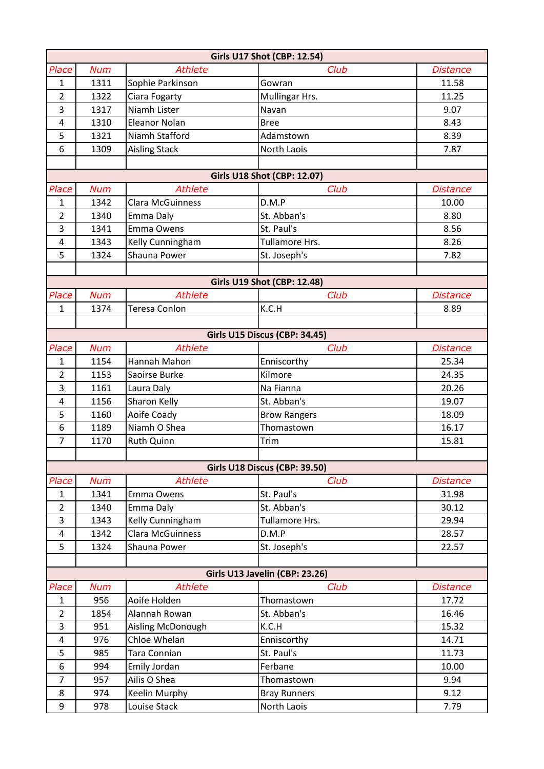| <b>Girls U17 Shot (CBP: 12.54)</b> |            |                         |                       |                 |  |  |
|------------------------------------|------------|-------------------------|-----------------------|-----------------|--|--|
| Place                              | <b>Num</b> | <b>Athlete</b>          | Club                  | <b>Distance</b> |  |  |
| $\mathbf{1}$                       | 1311       | Sophie Parkinson        | Gowran                | 11.58           |  |  |
| $\overline{2}$                     | 1322       | Ciara Fogarty           | Mullingar Hrs.        | 11.25           |  |  |
| 3                                  | 1317       | Niamh Lister            | Navan                 | 9.07            |  |  |
| $\overline{4}$                     | 1310       | <b>Eleanor Nolan</b>    | <b>Bree</b>           | 8.43            |  |  |
| 5                                  | 1321       | Niamh Stafford          | Adamstown             | 8.39            |  |  |
| 6                                  | 1309       | <b>Aisling Stack</b>    | North Laois           | 7.87            |  |  |
|                                    |            |                         |                       |                 |  |  |
| <b>Girls U18 Shot (CBP: 12.07)</b> |            |                         |                       |                 |  |  |
| Place                              | <b>Num</b> | <b>Athlete</b>          | Club                  | <b>Distance</b> |  |  |
| 1                                  | 1342       | <b>Clara McGuinness</b> | D.M.P                 | 10.00           |  |  |
| $\overline{2}$                     | 1340       | Emma Daly               | St. Abban's           | 8.80            |  |  |
| 3                                  | 1341       | Emma Owens              | St. Paul's            | 8.56            |  |  |
| $\overline{4}$                     | 1343       | Kelly Cunningham        | <b>Tullamore Hrs.</b> | 8.26            |  |  |
| 5                                  | 1324       | Shauna Power            | St. Joseph's          | 7.82            |  |  |
|                                    |            |                         |                       |                 |  |  |
| <b>Girls U19 Shot (CBP: 12.48)</b> |            |                         |                       |                 |  |  |
| Place                              | <b>Num</b> | <b>Athlete</b>          | Club                  | <b>Distance</b> |  |  |
| $\mathbf{1}$                       | 1374       | Teresa Conlon           | K.C.H                 | 8.89            |  |  |
|                                    |            |                         |                       |                 |  |  |
| Girls U15 Discus (CBP: 34.45)      |            |                         |                       |                 |  |  |
| Place                              | <b>Num</b> | <b>Athlete</b>          | Club                  | <b>Distance</b> |  |  |
| 1                                  | 1154       | Hannah Mahon            | Enniscorthy           | 25.34           |  |  |
| $\overline{2}$                     | 1153       | Saoirse Burke           | Kilmore               | 24.35           |  |  |
| 3                                  | 1161       | Laura Daly              | Na Fianna             | 20.26           |  |  |
| $\overline{a}$                     | 1156       | Sharon Kelly            | St. Abban's           | 19.07           |  |  |
| 5                                  | 1160       | Aoife Coady             | <b>Brow Rangers</b>   | 18.09           |  |  |
| 6                                  | 1189       | Niamh O Shea            | Thomastown            | 16.17           |  |  |
| $\overline{7}$                     | 1170       | <b>Ruth Quinn</b>       | Trim                  | 15.81           |  |  |
|                                    |            |                         |                       |                 |  |  |
| Girls U18 Discus (CBP: 39.50)      |            |                         |                       |                 |  |  |
| Place                              | <b>Num</b> | <b>Athlete</b>          | Club                  | <b>Distance</b> |  |  |
| $\mathbf{1}$                       | 1341       | Emma Owens              | St. Paul's            | 31.98           |  |  |
| $\overline{2}$                     | 1340       | Emma Daly               | St. Abban's           | 30.12           |  |  |
| 3                                  | 1343       | Kelly Cunningham        | Tullamore Hrs.        | 29.94           |  |  |
| $\overline{4}$                     | 1342       | <b>Clara McGuinness</b> | D.M.P                 | 28.57           |  |  |
| 5                                  | 1324       | Shauna Power            | St. Joseph's          | 22.57           |  |  |
| Girls U13 Javelin (CBP: 23.26)     |            |                         |                       |                 |  |  |
| Place                              | <b>Num</b> | <b>Athlete</b>          | Club                  | <b>Distance</b> |  |  |
| $\mathbf{1}$                       | 956        | Aoife Holden            | Thomastown            | 17.72           |  |  |
| $\overline{2}$                     | 1854       | Alannah Rowan           | St. Abban's           | 16.46           |  |  |
| 3                                  | 951        | Aisling McDonough       | K.C.H                 | 15.32           |  |  |
| 4                                  | 976        | Chloe Whelan            | Enniscorthy           | 14.71           |  |  |
| 5                                  | 985        | Tara Connian            | St. Paul's            | 11.73           |  |  |
| 6                                  | 994        | Emily Jordan            | Ferbane               | 10.00           |  |  |
| $\overline{7}$                     | 957        | Ailis O Shea            | Thomastown            | 9.94            |  |  |
| 8                                  | 974        | Keelin Murphy           | <b>Bray Runners</b>   | 9.12            |  |  |
| $\boldsymbol{9}$                   | 978        | Louise Stack            | North Laois           | 7.79            |  |  |